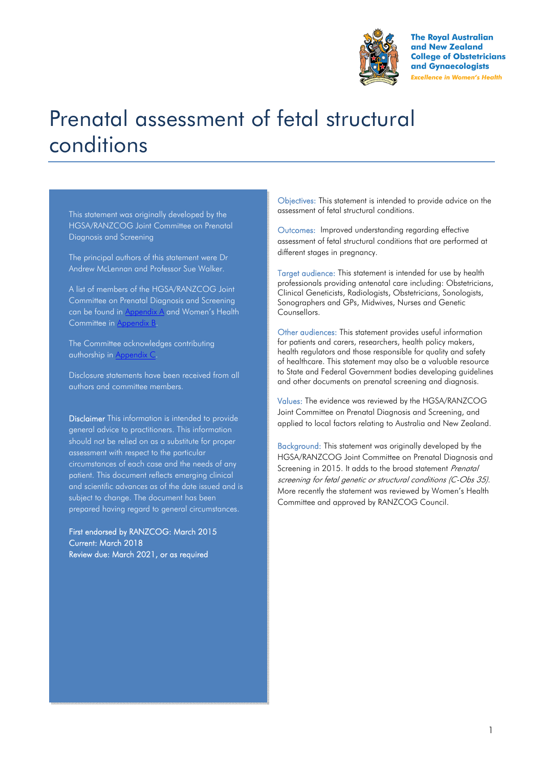

**The Royal Australian** and New Zealand **College of Obstetricians** and Gynaecologists **Excellence in Women's Health** 

# Prenatal assessment of fetal structural conditions

This statement was originally developed by the HGSA/RANZCOG Joint Committee on Prenatal Diagnosis and Screening

The principal authors of this statement were Dr Andrew McLennan and Professor Sue Walker.

A list of members of the HGSA/RANZCOG Joint Committee on Prenatal Diagnosis and Screening can be found in Appendix A and Women's Health Committee in Appendix B.

The Committee acknowledges contributing authorship in Appendix C.

Disclosure statements have been received from all authors and committee members.

Disclaimer This information is intended to provide general advice to practitioners. This information should not be relied on as a substitute for proper assessment with respect to the particular circumstances of each case and the needs of any patient. This document reflects emerging clinical and scientific advances as of the date issued and is subject to change. The document has been prepared having regard to general circumstances.

First endorsed by RANZCOG: March 2015 Current: March 2018 Review due: March 2021, or as required

Objectives: This statement is intended to provide advice on the assessment of fetal structural conditions.

Outcomes: Improved understanding regarding effective assessment of fetal structural conditions that are performed at different stages in pregnancy.

Target audience: This statement is intended for use by health professionals providing antenatal care including: Obstetricians, Clinical Geneticists, Radiologists, Obstetricians, Sonologists, Sonographers and GPs, Midwives, Nurses and Genetic Counsellors.

Other audiences: This statement provides useful information for patients and carers, researchers, health policy makers, health regulators and those responsible for quality and safety of healthcare. This statement may also be a valuable resource to State and Federal Government bodies developing guidelines and other documents on prenatal screening and diagnosis.

Values: The evidence was reviewed by the HGSA/RANZCOG Joint Committee on Prenatal Diagnosis and Screening, and applied to local factors relating to Australia and New Zealand.

Background: This statement was originally developed by the HGSA/RANZCOG Joint Committee on Prenatal Diagnosis and Screening in 2015. It adds to the broad statement Prenatal screening for fetal genetic or structural conditions (C-Obs 35). More recently the statement was reviewed by Women's Health Committee and approved by RANZCOG Council.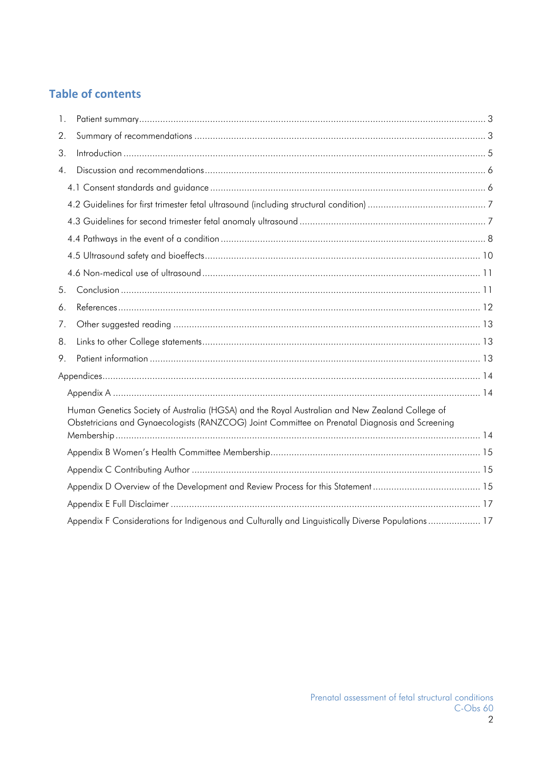### **Table of contents**

| 1.               |                                                                                                                                                                                                  |  |
|------------------|--------------------------------------------------------------------------------------------------------------------------------------------------------------------------------------------------|--|
| 2.               |                                                                                                                                                                                                  |  |
| 3.               |                                                                                                                                                                                                  |  |
| $\overline{4}$ . |                                                                                                                                                                                                  |  |
|                  |                                                                                                                                                                                                  |  |
|                  |                                                                                                                                                                                                  |  |
|                  |                                                                                                                                                                                                  |  |
|                  |                                                                                                                                                                                                  |  |
|                  |                                                                                                                                                                                                  |  |
|                  |                                                                                                                                                                                                  |  |
| 5.               |                                                                                                                                                                                                  |  |
| 6.               |                                                                                                                                                                                                  |  |
| 7.               |                                                                                                                                                                                                  |  |
| 8.               |                                                                                                                                                                                                  |  |
| 9.               |                                                                                                                                                                                                  |  |
|                  |                                                                                                                                                                                                  |  |
|                  |                                                                                                                                                                                                  |  |
|                  | Human Genetics Society of Australia (HGSA) and the Royal Australian and New Zealand College of<br>Obstetricians and Gynaecologists (RANZCOG) Joint Committee on Prenatal Diagnosis and Screening |  |
|                  |                                                                                                                                                                                                  |  |
|                  |                                                                                                                                                                                                  |  |
|                  |                                                                                                                                                                                                  |  |
|                  |                                                                                                                                                                                                  |  |
|                  |                                                                                                                                                                                                  |  |
|                  | Appendix F Considerations for Indigenous and Culturally and Linguistically Diverse Populations 17                                                                                                |  |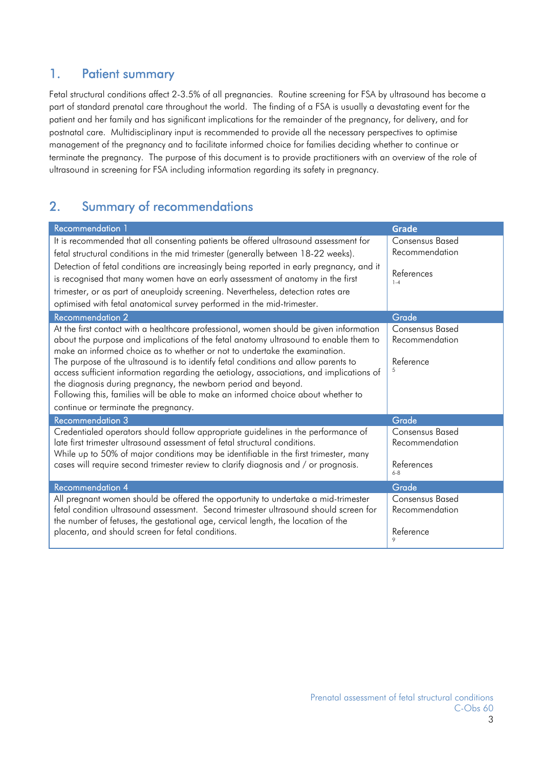### 1. Patient summary

Fetal structural conditions affect 2-3.5% of all pregnancies. Routine screening for FSA by ultrasound has become a part of standard prenatal care throughout the world. The finding of a FSA is usually a devastating event for the patient and her family and has significant implications for the remainder of the pregnancy, for delivery, and for postnatal care. Multidisciplinary input is recommended to provide all the necessary perspectives to optimise management of the pregnancy and to facilitate informed choice for families deciding whether to continue or terminate the pregnancy. The purpose of this document is to provide practitioners with an overview of the role of ultrasound in screening for FSA including information regarding its safety in pregnancy.

# 2. Summary of recommendations

| <b>Recommendation</b> 1                                                                                                                                                                                                                                                                                                                                                       | <b>Grade</b>                                                      |
|-------------------------------------------------------------------------------------------------------------------------------------------------------------------------------------------------------------------------------------------------------------------------------------------------------------------------------------------------------------------------------|-------------------------------------------------------------------|
| It is recommended that all consenting patients be offered ultrasound assessment for<br>fetal structural conditions in the mid trimester (generally between 18-22 weeks).<br>Detection of fetal conditions are increasingly being reported in early pregnancy, and it<br>is recognised that many women have an early assessment of anatomy in the first                        | <b>Consensus Based</b><br>Recommendation<br>References<br>$1 - 4$ |
| trimester, or as part of aneuploidy screening. Nevertheless, detection rates are<br>optimised with fetal anatomical survey performed in the mid-trimester.                                                                                                                                                                                                                    |                                                                   |
| <b>Recommendation 2</b>                                                                                                                                                                                                                                                                                                                                                       | Grade                                                             |
| At the first contact with a healthcare professional, women should be given information<br>about the purpose and implications of the fetal anatomy ultrasound to enable them to<br>make an informed choice as to whether or not to undertake the examination.                                                                                                                  | <b>Consensus Based</b><br>Recommendation                          |
| The purpose of the ultrasound is to identify fetal conditions and allow parents to<br>access sufficient information regarding the aetiology, associations, and implications of<br>the diagnosis during pregnancy, the newborn period and beyond.<br>Following this, families will be able to make an informed choice about whether to<br>continue or terminate the pregnancy. | Reference                                                         |
| Recommendation 3                                                                                                                                                                                                                                                                                                                                                              | Grade                                                             |
| Credentialed operators should follow appropriate guidelines in the performance of<br>late first trimester ultrasound assessment of fetal structural conditions.<br>While up to 50% of major conditions may be identifiable in the first trimester, many                                                                                                                       | <b>Consensus Based</b><br>Recommendation                          |
| cases will require second trimester review to clarify diagnosis and / or prognosis.                                                                                                                                                                                                                                                                                           | References<br>$6 - 8$                                             |
| <b>Recommendation 4</b>                                                                                                                                                                                                                                                                                                                                                       | Grade                                                             |
| All pregnant women should be offered the opportunity to undertake a mid-trimester<br>fetal condition ultrasound assessment. Second trimester ultrasound should screen for<br>the number of fetuses, the gestational age, cervical length, the location of the                                                                                                                 | <b>Consensus Based</b><br>Recommendation                          |
| placenta, and should screen for fetal conditions.                                                                                                                                                                                                                                                                                                                             | Reference                                                         |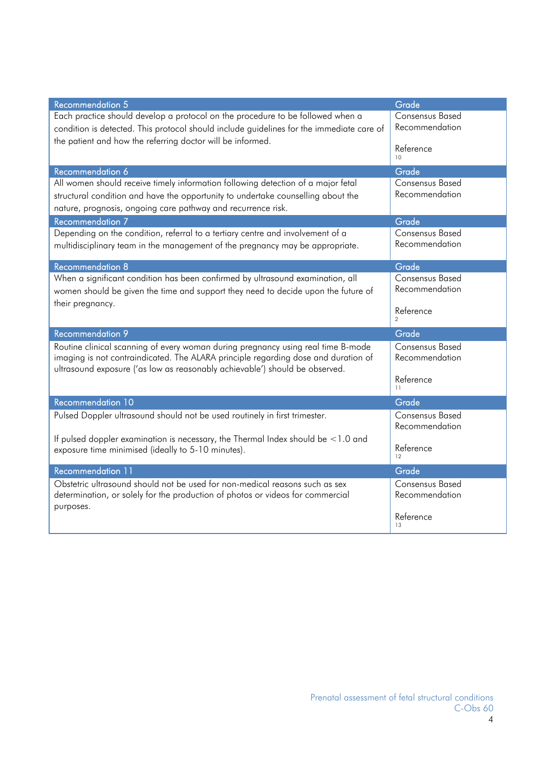| <b>Recommendation 5</b>                                                                  | Grade                      |
|------------------------------------------------------------------------------------------|----------------------------|
| Each practice should develop a protocol on the procedure to be followed when a           | <b>Consensus Based</b>     |
| condition is detected. This protocol should include guidelines for the immediate care of | Recommendation             |
| the patient and how the referring doctor will be informed.                               | Reference                  |
|                                                                                          | 10                         |
| Recommendation 6                                                                         | Grade                      |
| All women should receive timely information following detection of a major fetal         | <b>Consensus Based</b>     |
| structural condition and have the opportunity to undertake counselling about the         | Recommendation             |
| nature, prognosis, ongoing care pathway and recurrence risk.                             |                            |
| <b>Recommendation 7</b>                                                                  | Grade                      |
| Depending on the condition, referral to a tertiary centre and involvement of a           | <b>Consensus Based</b>     |
| multidisciplinary team in the management of the pregnancy may be appropriate.            | Recommendation             |
| <b>Recommendation 8</b>                                                                  | Grade                      |
| When a significant condition has been confirmed by ultrasound examination, all           | <b>Consensus Based</b>     |
| women should be given the time and support they need to decide upon the future of        | Recommendation             |
| their pregnancy.                                                                         |                            |
|                                                                                          | Reference<br>$\mathcal{P}$ |
| <b>Recommendation 9</b>                                                                  | Grade                      |
| Routine clinical scanning of every woman during pregnancy using real time B-mode         | <b>Consensus Based</b>     |
| imaging is not contraindicated. The ALARA principle regarding dose and duration of       | Recommendation             |
| ultrasound exposure ('as low as reasonably achievable') should be observed.              | Reference                  |
|                                                                                          | 11                         |
| <b>Recommendation 10</b>                                                                 | Grade                      |
| Pulsed Doppler ultrasound should not be used routinely in first trimester.               | <b>Consensus Based</b>     |
|                                                                                          | Recommendation             |
| If pulsed doppler examination is necessary, the Thermal Index should be $<$ 1.0 and      | Reference                  |
| exposure time minimised (ideally to 5-10 minutes).                                       | 12                         |
| <b>Recommendation 11</b>                                                                 | Grade                      |
| Obstetric ultrasound should not be used for non-medical reasons such as sex              | <b>Consensus Based</b>     |
| determination, or solely for the production of photos or videos for commercial           | Recommendation             |
| purposes.                                                                                | Reference                  |
|                                                                                          | 13                         |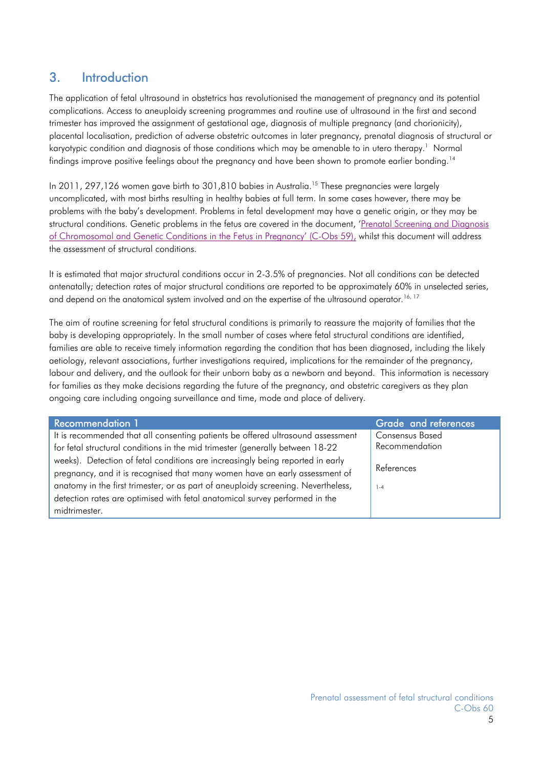### 3. Introduction

The application of fetal ultrasound in obstetrics has revolutionised the management of pregnancy and its potential complications. Access to aneuploidy screening programmes and routine use of ultrasound in the first and second trimester has improved the assignment of gestational age, diagnosis of multiple pregnancy (and chorionicity), placental localisation, prediction of adverse obstetric outcomes in later pregnancy, prenatal diagnosis of structural or karyotypic condition and diagnosis of those conditions which may be amenable to in utero therapy.<sup>1</sup> Normal findings improve positive feelings about the pregnancy and have been shown to promote earlier bonding.<sup>14</sup>

In 2011, 297,126 women gave birth to 301,810 babies in Australia.<sup>15</sup> These pregnancies were largely uncomplicated, with most births resulting in healthy babies at full term. In some cases however, there may be problems with the baby's development. Problems in fetal development may have a genetic origin, or they may be structural conditions. Genetic problems in the fetus are covered in the document, 'Prenatal Screening and Diagnosis of Chromosomal and Genetic Conditions in the Fetus in Pregnancy' (C-Obs 59), whilst this document will address the assessment of structural conditions.

It is estimated that major structural conditions occur in 2-3.5% of pregnancies. Not all conditions can be detected antenatally; detection rates of major structural conditions are reported to be approximately 60% in unselected series, and depend on the anatomical system involved and on the expertise of the ultrasound operator.<sup>16, 17</sup>

The aim of routine screening for fetal structural conditions is primarily to reassure the majority of families that the baby is developing appropriately. In the small number of cases where fetal structural conditions are identified, families are able to receive timely information regarding the condition that has been diagnosed, including the likely aetiology, relevant associations, further investigations required, implications for the remainder of the pregnancy, labour and delivery, and the outlook for their unborn baby as a newborn and beyond. This information is necessary for families as they make decisions regarding the future of the pregnancy, and obstetric caregivers as they plan ongoing care including ongoing surveillance and time, mode and place of delivery.

| <b>Recommendation 1</b>                                                           | Grade and references   |
|-----------------------------------------------------------------------------------|------------------------|
| It is recommended that all consenting patients be offered ultrasound assessment   | <b>Consensus Based</b> |
| for fetal structural conditions in the mid trimester (generally between 18-22     | Recommendation         |
| weeks). Detection of fetal conditions are increasingly being reported in early    |                        |
| pregnancy, and it is recognised that many women have an early assessment of       | References             |
| anatomy in the first trimester, or as part of aneuploidy screening. Nevertheless, | $1 - 4$                |
| detection rates are optimised with fetal anatomical survey performed in the       |                        |
| midtrimester.                                                                     |                        |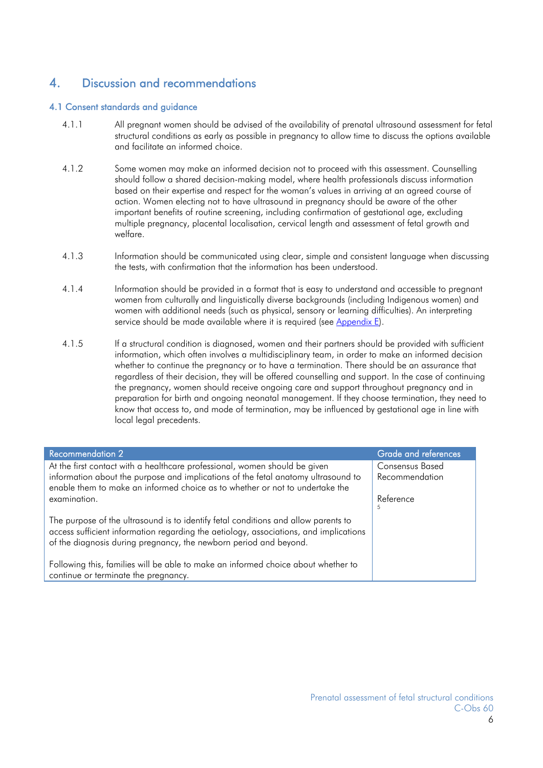### 4. Discussion and recommendations

#### 4.1 Consent standards and guidance

- 4.1.1 All pregnant women should be advised of the availability of prenatal ultrasound assessment for fetal structural conditions as early as possible in pregnancy to allow time to discuss the options available and facilitate an informed choice.
- 4.1.2 Some women may make an informed decision not to proceed with this assessment. Counselling should follow a shared decision-making model, where health professionals discuss information based on their expertise and respect for the woman's values in arriving at an agreed course of action. Women electing not to have ultrasound in pregnancy should be aware of the other important benefits of routine screening, including confirmation of gestational age, excluding multiple pregnancy, placental localisation, cervical length and assessment of fetal growth and welfare.
- 4.1.3 Information should be communicated using clear, simple and consistent language when discussing the tests, with confirmation that the information has been understood.
- 4.1.4 Information should be provided in a format that is easy to understand and accessible to pregnant women from culturally and linguistically diverse backgrounds (including Indigenous women) and women with additional needs (such as physical, sensory or learning difficulties). An interpreting service should be made available where it is required (see Appendix E).
- 4.1.5 If a structural condition is diagnosed, women and their partners should be provided with sufficient information, which often involves a multidisciplinary team, in order to make an informed decision whether to continue the pregnancy or to have a termination. There should be an assurance that regardless of their decision, they will be offered counselling and support. In the case of continuing the pregnancy, women should receive ongoing care and support throughout pregnancy and in preparation for birth and ongoing neonatal management. If they choose termination, they need to know that access to, and mode of termination, may be influenced by gestational age in line with local legal precedents.

| <b>Recommendation 2</b>                                                                                                                                                                                                                          | <b>Grade and references</b>              |
|--------------------------------------------------------------------------------------------------------------------------------------------------------------------------------------------------------------------------------------------------|------------------------------------------|
| At the first contact with a healthcare professional, women should be given<br>information about the purpose and implications of the fetal anatomy ultrasound to                                                                                  | <b>Consensus Based</b><br>Recommendation |
| enable them to make an informed choice as to whether or not to undertake the                                                                                                                                                                     |                                          |
| examination.                                                                                                                                                                                                                                     | Reference<br>5                           |
| The purpose of the ultrasound is to identify fetal conditions and allow parents to<br>access sufficient information regarding the aetiology, associations, and implications<br>of the diagnosis during pregnancy, the newborn period and beyond. |                                          |
| Following this, families will be able to make an informed choice about whether to<br>continue or terminate the pregnancy.                                                                                                                        |                                          |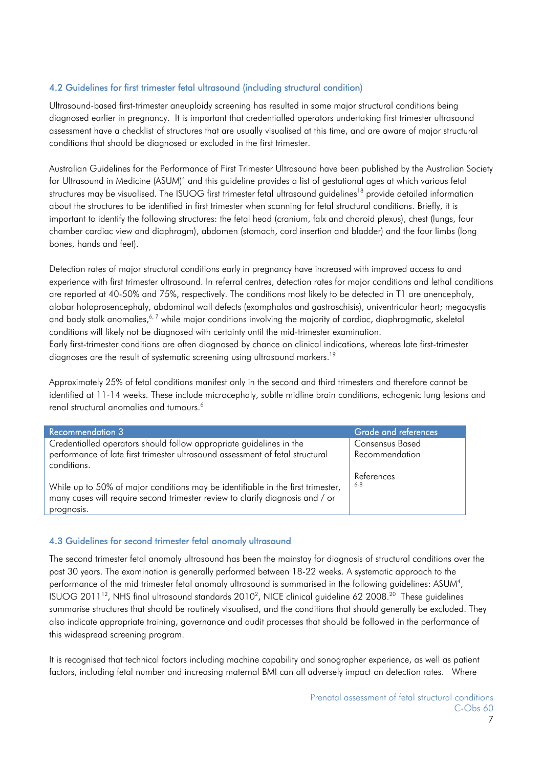#### 4.2 Guidelines for first trimester fetal ultrasound (including structural condition)

Ultrasound-based first-trimester aneuploidy screening has resulted in some major structural conditions being diagnosed earlier in pregnancy. It is important that credentialled operators undertaking first trimester ultrasound assessment have a checklist of structures that are usually visualised at this time, and are aware of major structural conditions that should be diagnosed or excluded in the first trimester.

Australian Guidelines for the Performance of First Trimester Ultrasound have been published by the Australian Society for Ultrasound in Medicine (ASUM)<sup>4</sup> and this guideline provides a list of gestational ages at which various fetal structures may be visualised. The ISUOG first trimester fetal ultrasound guidelines<sup>18</sup> provide detailed information about the structures to be identified in first trimester when scanning for fetal structural conditions. Briefly, it is important to identify the following structures: the fetal head (cranium, falx and choroid plexus), chest (lungs, four chamber cardiac view and diaphragm), abdomen (stomach, cord insertion and bladder) and the four limbs (long bones, hands and feet).

Detection rates of major structural conditions early in pregnancy have increased with improved access to and experience with first trimester ultrasound. In referral centres, detection rates for major conditions and lethal conditions are reported at 40-50% and 75%, respectively. The conditions most likely to be detected in T1 are anencephaly, alobar holoprosencephaly, abdominal wall defects (exomphalos and gastroschisis), univentricular heart; megacystis and body stalk anomalies,<sup>6,7</sup> while major conditions involving the majority of cardiac, diaphragmatic, skeletal conditions will likely not be diagnosed with certainty until the mid-trimester examination.

Early first-trimester conditions are often diagnosed by chance on clinical indications, whereas late first-trimester diagnoses are the result of systematic screening using ultrasound markers.<sup>19</sup>

Approximately 25% of fetal conditions manifest only in the second and third trimesters and therefore cannot be identified at 11-14 weeks. These include microcephaly, subtle midline brain conditions, echogenic lung lesions and renal structural anomalies and tumours.<sup>6</sup>

| <b>Recommendation 3</b>                                                                                                                                          | <b>Grade and references</b> |
|------------------------------------------------------------------------------------------------------------------------------------------------------------------|-----------------------------|
| Credentialled operators should follow appropriate guidelines in the                                                                                              | <b>Consensus Based</b>      |
| performance of late first trimester ultrasound assessment of fetal structural<br>conditions.                                                                     | Recommendation              |
|                                                                                                                                                                  | References                  |
| While up to 50% of major conditions may be identifiable in the first trimester,<br>many cases will require second trimester review to clarify diagnosis and / or | 6-8                         |
| prognosis.                                                                                                                                                       |                             |

#### 4.3 Guidelines for second trimester fetal anomaly ultrasound

The second trimester fetal anomaly ultrasound has been the mainstay for diagnosis of structural conditions over the past 30 years. The examination is generally performed between 18-22 weeks. A systematic approach to the performance of the mid trimester fetal anomaly ultrasound is summarised in the following guidelines: ASUM<sup>4</sup>, ISUOG 2011<sup>12</sup>, NHS final ultrasound standards 2010<sup>2</sup>, NICE clinical guideline 62 2008.<sup>20</sup> These guidelines summarise structures that should be routinely visualised, and the conditions that should generally be excluded. They also indicate appropriate training, governance and audit processes that should be followed in the performance of this widespread screening program.

It is recognised that technical factors including machine capability and sonographer experience, as well as patient factors, including fetal number and increasing maternal BMI can all adversely impact on detection rates. Where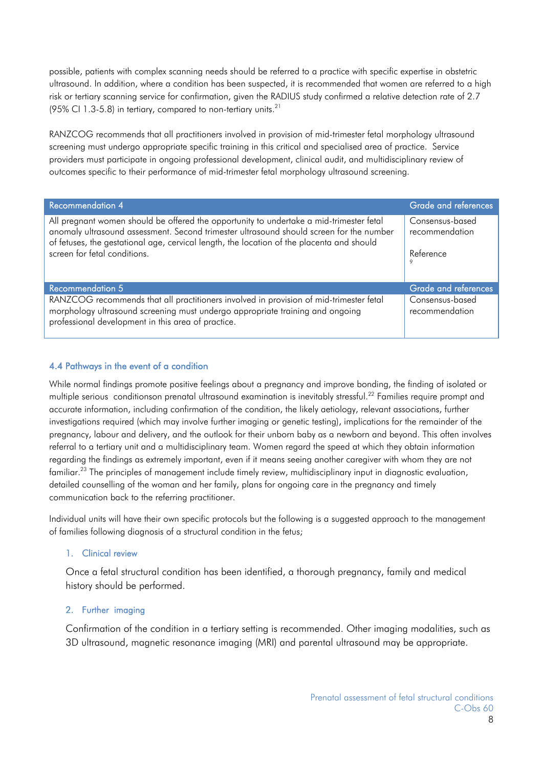possible, patients with complex scanning needs should be referred to a practice with specific expertise in obstetric ultrasound. In addition, where a condition has been suspected, it is recommended that women are referred to a high risk or tertiary scanning service for confirmation, given the RADIUS study confirmed a relative detection rate of 2.7 (95% CI 1.3-5.8) in tertiary, compared to non-tertiary units.<sup>21</sup>

RANZCOG recommends that all practitioners involved in provision of mid-trimester fetal morphology ultrasound screening must undergo appropriate specific training in this critical and specialised area of practice. Service providers must participate in ongoing professional development, clinical audit, and multidisciplinary review of outcomes specific to their performance of mid-trimester fetal morphology ultrasound screening.

| <b>Recommendation 4</b>                                                                                                                                                                                                                                                                                         | <b>Grade and references</b>                         |
|-----------------------------------------------------------------------------------------------------------------------------------------------------------------------------------------------------------------------------------------------------------------------------------------------------------------|-----------------------------------------------------|
| All pregnant women should be offered the opportunity to undertake a mid-trimester fetal<br>anomaly ultrasound assessment. Second trimester ultrasound should screen for the number<br>of fetuses, the gestational age, cervical length, the location of the placenta and should<br>screen for fetal conditions. | Consensus-based<br>recommendation<br>Reference<br>9 |
| <b>Recommendation 5</b>                                                                                                                                                                                                                                                                                         | Grade and references                                |
| RANZCOG recommends that all practitioners involved in provision of mid-trimester fetal<br>morphology ultrasound screening must undergo appropriate training and ongoing<br>professional development in this area of practice.                                                                                   | Consensus-based<br>recommendation                   |

#### 4.4 Pathways in the event of a condition

While normal findings promote positive feelings about a pregnancy and improve bonding, the finding of isolated or multiple serious conditionson prenatal ultrasound examination is inevitably stressful.<sup>22</sup> Families require prompt and accurate information, including confirmation of the condition, the likely aetiology, relevant associations, further investigations required (which may involve further imaging or genetic testing), implications for the remainder of the pregnancy, labour and delivery, and the outlook for their unborn baby as a newborn and beyond. This often involves referral to a tertiary unit and a multidisciplinary team. Women regard the speed at which they obtain information regarding the findings as extremely important, even if it means seeing another caregiver with whom they are not familiar.<sup>23</sup> The principles of management include timely review, multidisciplinary input in diagnostic evaluation, detailed counselling of the woman and her family, plans for ongoing care in the pregnancy and timely communication back to the referring practitioner.

Individual units will have their own specific protocols but the following is a suggested approach to the management of families following diagnosis of a structural condition in the fetus;

#### 1. Clinical review

Once a fetal structural condition has been identified, a thorough pregnancy, family and medical history should be performed.

#### 2. Further imaging

Confirmation of the condition in a tertiary setting is recommended. Other imaging modalities, such as 3D ultrasound, magnetic resonance imaging (MRI) and parental ultrasound may be appropriate.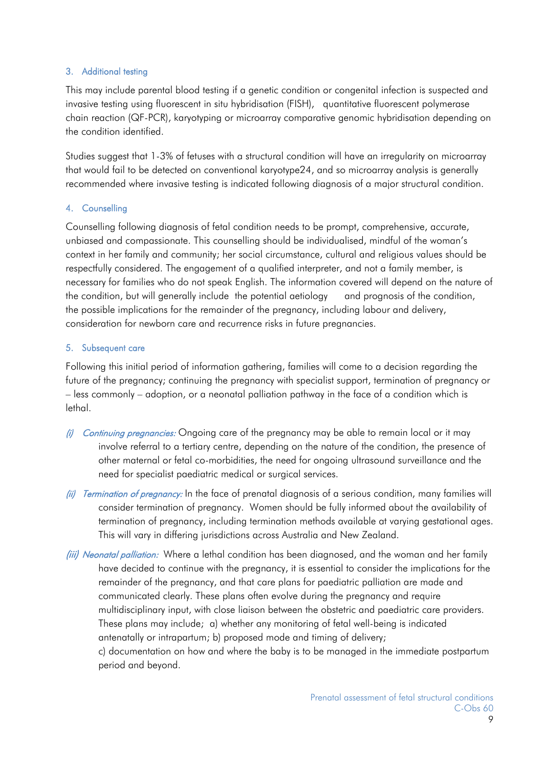### 3. Additional testing

This may include parental blood testing if a genetic condition or congenital infection is suspected and invasive testing using fluorescent in situ hybridisation (FISH), quantitative fluorescent polymerase chain reaction (QF-PCR), karyotyping or microarray comparative genomic hybridisation depending on the condition identified.

Studies suggest that 1-3% of fetuses with a structural condition will have an irregularity on microarray that would fail to be detected on conventional karyotype24, and so microarray analysis is generally recommended where invasive testing is indicated following diagnosis of a major structural condition.

### 4. Counselling

Counselling following diagnosis of fetal condition needs to be prompt, comprehensive, accurate, unbiased and compassionate. This counselling should be individualised, mindful of the woman's context in her family and community; her social circumstance, cultural and religious values should be respectfully considered. The engagement of a qualified interpreter, and not a family member, is necessary for families who do not speak English. The information covered will depend on the nature of the condition, but will generally include the potential aetiology and prognosis of the condition, the possible implications for the remainder of the pregnancy, including labour and delivery, consideration for newborn care and recurrence risks in future pregnancies.

#### 5. Subsequent care

Following this initial period of information gathering, families will come to a decision regarding the future of the pregnancy; continuing the pregnancy with specialist support, termination of pregnancy or – less commonly – adoption, or a neonatal palliation pathway in the face of a condition which is lethal.

- (i) Continuing pregnancies: Ongoing care of the pregnancy may be able to remain local or it may involve referral to a tertiary centre, depending on the nature of the condition, the presence of other maternal or fetal co-morbidities, the need for ongoing ultrasound surveillance and the need for specialist paediatric medical or surgical services.
- (ii) Termination of pregnancy: In the face of prenatal diagnosis of a serious condition, many families will consider termination of pregnancy. Women should be fully informed about the availability of termination of pregnancy, including termination methods available at varying gestational ages. This will vary in differing jurisdictions across Australia and New Zealand.
- (iii) Neonatal palliation: Where a lethal condition has been diagnosed, and the woman and her family have decided to continue with the pregnancy, it is essential to consider the implications for the remainder of the pregnancy, and that care plans for paediatric palliation are made and communicated clearly. These plans often evolve during the pregnancy and require multidisciplinary input, with close liaison between the obstetric and paediatric care providers. These plans may include; a) whether any monitoring of fetal well-being is indicated antenatally or intrapartum; b) proposed mode and timing of delivery; c) documentation on how and where the baby is to be managed in the immediate postpartum period and beyond.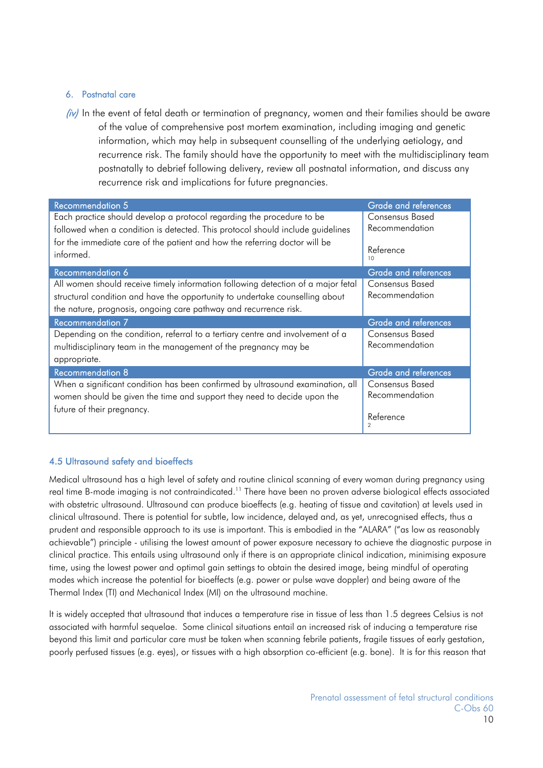### 6. Postnatal care

 $(iv)$  In the event of fetal death or termination of pregnancy, women and their families should be aware of the value of comprehensive post mortem examination, including imaging and genetic information, which may help in subsequent counselling of the underlying aetiology, and recurrence risk. The family should have the opportunity to meet with the multidisciplinary team postnatally to debrief following delivery, review all postnatal information, and discuss any recurrence risk and implications for future pregnancies.

| <b>Recommendation 5</b>                                                          | <b>Grade and references</b> |
|----------------------------------------------------------------------------------|-----------------------------|
| Each practice should develop a protocol regarding the procedure to be            | Consensus Based             |
| followed when a condition is detected. This protocol should include guidelines   | Recommendation              |
| for the immediate care of the patient and how the referring doctor will be       | Reference                   |
| informed.                                                                        | 10                          |
| Recommendation 6                                                                 | Grade and references        |
| All women should receive timely information following detection of a major fetal | Consensus Based             |
| structural condition and have the opportunity to undertake counselling about     | Recommendation              |
| the nature, prognosis, ongoing care pathway and recurrence risk.                 |                             |
|                                                                                  |                             |
| <b>Recommendation 7</b>                                                          | <b>Grade and references</b> |
| Depending on the condition, referral to a tertiary centre and involvement of a   | Consensus Based             |
| multidisciplinary team in the management of the pregnancy may be                 | Recommendation              |
| appropriate.                                                                     |                             |
| <b>Recommendation 8</b>                                                          | <b>Grade and references</b> |
| When a significant condition has been confirmed by ultrasound examination, all   | Consensus Based             |
| women should be given the time and support they need to decide upon the          | Recommendation              |
| future of their pregnancy.                                                       | Reference<br>2              |

#### 4.5 Ultrasound safety and bioeffects

Medical ultrasound has a high level of safety and routine clinical scanning of every woman during pregnancy using real time B-mode imaging is not contraindicated.<sup>11</sup> There have been no proven adverse biological effects associated with obstetric ultrasound. Ultrasound can produce bioeffects (e.g. heating of tissue and cavitation) at levels used in clinical ultrasound. There is potential for subtle, low incidence, delayed and, as yet, unrecognised effects, thus a prudent and responsible approach to its use is important. This is embodied in the "ALARA" ("as low as reasonably achievable") principle - utilising the lowest amount of power exposure necessary to achieve the diagnostic purpose in clinical practice. This entails using ultrasound only if there is an appropriate clinical indication, minimising exposure time, using the lowest power and optimal gain settings to obtain the desired image, being mindful of operating modes which increase the potential for bioeffects (e.g. power or pulse wave doppler) and being aware of the Thermal Index (TI) and Mechanical Index (MI) on the ultrasound machine.

It is widely accepted that ultrasound that induces a temperature rise in tissue of less than 1.5 degrees Celsius is not associated with harmful sequelae. Some clinical situations entail an increased risk of inducing a temperature rise beyond this limit and particular care must be taken when scanning febrile patients, fragile tissues of early gestation, poorly perfused tissues (e.g. eyes), or tissues with a high absorption co-efficient (e.g. bone). It is for this reason that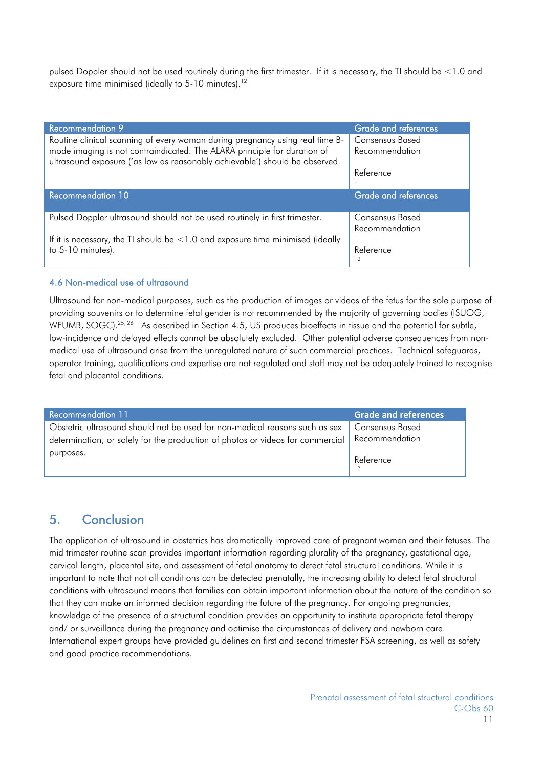pulsed Doppler should not be used routinely during the first trimester. If it is necessary, the TI should be <1.0 and exposure time minimised (ideally to 5-10 minutes).<sup>12</sup>

| <b>Recommendation 9</b>                                                              | Grade and references        |
|--------------------------------------------------------------------------------------|-----------------------------|
| Routine clinical scanning of every woman during pregnancy using real time B-         | Consensus Based             |
| mode imaging is not contraindicated. The ALARA principle for duration of             | Recommendation              |
| ultrasound exposure ('as low as reasonably achievable') should be observed.          |                             |
|                                                                                      | Reference                   |
|                                                                                      |                             |
|                                                                                      |                             |
| <b>Recommendation 10</b>                                                             | <b>Grade and references</b> |
|                                                                                      |                             |
| Pulsed Doppler ultrasound should not be used routinely in first trimester.           | Consensus Based             |
|                                                                                      | Recommendation              |
| If it is necessary, the TI should be $\leq$ 1.0 and exposure time minimised (ideally |                             |
| to 5-10 minutes).                                                                    | Reference                   |

#### 4.6 Non-medical use of ultrasound

Ultrasound for non-medical purposes, such as the production of images or videos of the fetus for the sole purpose of providing souvenirs or to determine fetal gender is not recommended by the majority of governing bodies (ISUOG, WFUMB, SOGC).<sup>25, 26</sup> As described in Section 4.5, US produces bioeffects in tissue and the potential for subtle, low-incidence and delayed effects cannot be absolutely excluded. Other potential adverse consequences from nonmedical use of ultrasound arise from the unregulated nature of such commercial practices. Technical safeguards, operator training, qualifications and expertise are not regulated and staff may not be adequately trained to recognise fetal and placental conditions.

| Recommendation 11                                                              | <b>Grade and references</b> |
|--------------------------------------------------------------------------------|-----------------------------|
| Obstetric ultrasound should not be used for non-medical reasons such as sex    | Consensus Based             |
| determination, or solely for the production of photos or videos for commercial | Recommendation              |
| purposes.                                                                      | Reference                   |

### 5. Conclusion

The application of ultrasound in obstetrics has dramatically improved care of pregnant women and their fetuses. The mid trimester routine scan provides important information regarding plurality of the pregnancy, gestational age, cervical length, placental site, and assessment of fetal anatomy to detect fetal structural conditions. While it is important to note that not all conditions can be detected prenatally, the increasing ability to detect fetal structural conditions with ultrasound means that families can obtain important information about the nature of the condition so that they can make an informed decision regarding the future of the pregnancy. For ongoing pregnancies, knowledge of the presence of a structural condition provides an opportunity to institute appropriate fetal therapy and/ or surveillance during the pregnancy and optimise the circumstances of delivery and newborn care. International expert groups have provided guidelines on first and second trimester FSA screening, as well as safety and good practice recommendations.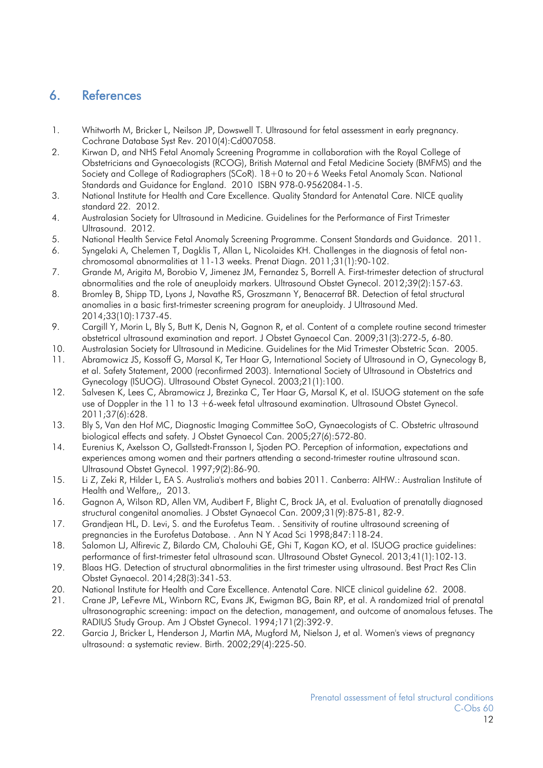### 6. References

- 1. Whitworth M, Bricker L, Neilson JP, Dowswell T. Ultrasound for fetal assessment in early pregnancy. Cochrane Database Syst Rev. 2010(4):Cd007058.
- 2. Kirwan D, and NHS Fetal Anomaly Screening Programme in collaboration with the Royal College of Obstetricians and Gynaecologists (RCOG), British Maternal and Fetal Medicine Society (BMFMS) and the Society and College of Radiographers (SCoR). 18+0 to 20+6 Weeks Fetal Anomaly Scan. National Standards and Guidance for England. 2010 ISBN 978-0-9562084-1-5.
- 3. National Institute for Health and Care Excellence. Quality Standard for Antenatal Care. NICE quality standard 22. 2012.
- 4. Australasian Society for Ultrasound in Medicine. Guidelines for the Performance of First Trimester Ultrasound. 2012.
- 5. National Health Service Fetal Anomaly Screening Programme. Consent Standards and Guidance. 2011.
- 6. Syngelaki A, Chelemen T, Dagklis T, Allan L, Nicolaides KH. Challenges in the diagnosis of fetal nonchromosomal abnormalities at 11-13 weeks. Prenat Diagn. 2011;31(1):90-102.
- 7. Grande M, Arigita M, Borobio V, Jimenez JM, Fernandez S, Borrell A. First-trimester detection of structural abnormalities and the role of aneuploidy markers. Ultrasound Obstet Gynecol. 2012;39(2):157-63.
- 8. Bromley B, Shipp TD, Lyons J, Navathe RS, Groszmann Y, Benacerraf BR. Detection of fetal structural anomalies in a basic first-trimester screening program for aneuploidy. J Ultrasound Med. 2014;33(10):1737-45.
- 9. Cargill Y, Morin L, Bly S, Butt K, Denis N, Gagnon R, et al. Content of a complete routine second trimester obstetrical ultrasound examination and report. J Obstet Gynaecol Can. 2009;31(3):272-5, 6-80.
- 10. Australasian Society for Ultrasound in Medicine. Guidelines for the Mid Trimester Obstetric Scan. 2005.
- 11. Abramowicz JS, Kossoff G, Marsal K, Ter Haar G, International Society of Ultrasound in O, Gynecology B, et al. Safety Statement, 2000 (reconfirmed 2003). International Society of Ultrasound in Obstetrics and Gynecology (ISUOG). Ultrasound Obstet Gynecol. 2003;21(1):100.
- 12. Salvesen K, Lees C, Abramowicz J, Brezinka C, Ter Haar G, Marsal K, et al. ISUOG statement on the safe use of Doppler in the 11 to 13 +6-week fetal ultrasound examination. Ultrasound Obstet Gynecol. 2011;37(6):628.
- 13. Bly S, Van den Hof MC, Diagnostic Imaging Committee SoO, Gynaecologists of C. Obstetric ultrasound biological effects and safety. J Obstet Gynaecol Can. 2005;27(6):572-80.
- 14. Eurenius K, Axelsson O, Gallstedt-Fransson I, Sjoden PO. Perception of information, expectations and experiences among women and their partners attending a second-trimester routine ultrasound scan. Ultrasound Obstet Gynecol. 1997;9(2):86-90.
- 15. Li Z, Zeki R, Hilder L, EA S. Australia's mothers and babies 2011. Canberra: AIHW.: Australian Institute of Health and Welfare,, 2013.
- 16. Gagnon A, Wilson RD, Allen VM, Audibert F, Blight C, Brock JA, et al. Evaluation of prenatally diagnosed structural congenital anomalies. J Obstet Gynaecol Can. 2009;31(9):875-81, 82-9.
- 17. Grandjean HL, D. Levi, S. and the Eurofetus Team. . Sensitivity of routine ultrasound screening of pregnancies in the Eurofetus Database. . Ann N Y Acad Sci 1998;847:118-24.
- 18. Salomon LJ, Alfirevic Z, Bilardo CM, Chalouhi GE, Ghi T, Kagan KO, et al. ISUOG practice guidelines: performance of first-trimester fetal ultrasound scan. Ultrasound Obstet Gynecol. 2013;41(1):102-13.
- 19. Blaas HG. Detection of structural abnormalities in the first trimester using ultrasound. Best Pract Res Clin Obstet Gynaecol. 2014;28(3):341-53.
- 20. National Institute for Health and Care Excellence. Antenatal Care. NICE clinical guideline 62. 2008.
- 21. Crane JP, LeFevre ML, Winborn RC, Evans JK, Ewigman BG, Bain RP, et al. A randomized trial of prenatal ultrasonographic screening: impact on the detection, management, and outcome of anomalous fetuses. The RADIUS Study Group. Am J Obstet Gynecol. 1994;171(2):392-9.
- 22. Garcia J, Bricker L, Henderson J, Martin MA, Mugford M, Nielson J, et al. Women's views of pregnancy ultrasound: a systematic review. Birth. 2002;29(4):225-50.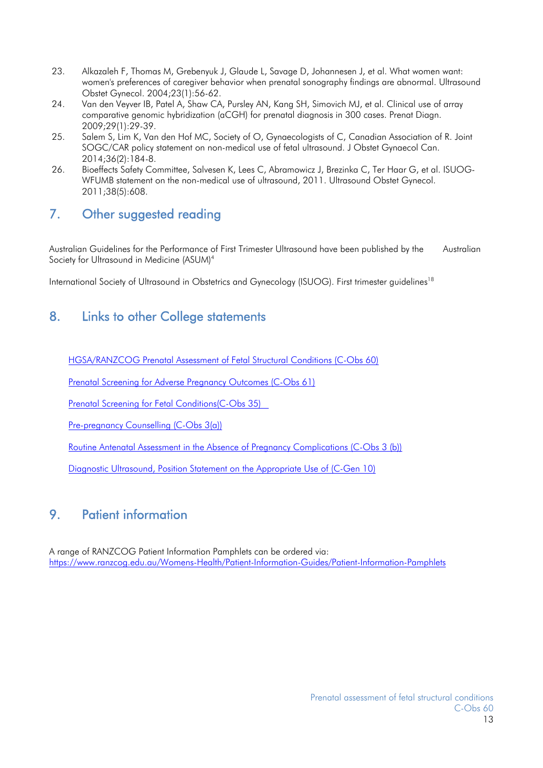- 23. Alkazaleh F, Thomas M, Grebenyuk J, Glaude L, Savage D, Johannesen J, et al. What women want: women's preferences of caregiver behavior when prenatal sonography findings are abnormal. Ultrasound Obstet Gynecol. 2004;23(1):56-62.
- 24. Van den Veyver IB, Patel A, Shaw CA, Pursley AN, Kang SH, Simovich MJ, et al. Clinical use of array comparative genomic hybridization (aCGH) for prenatal diagnosis in 300 cases. Prenat Diagn. 2009;29(1):29-39.
- 25. Salem S, Lim K, Van den Hof MC, Society of O, Gynaecologists of C, Canadian Association of R. Joint SOGC/CAR policy statement on non-medical use of fetal ultrasound. J Obstet Gynaecol Can. 2014;36(2):184-8.
- 26. Bioeffects Safety Committee, Salvesen K, Lees C, Abramowicz J, Brezinka C, Ter Haar G, et al. ISUOG-WFUMB statement on the non-medical use of ultrasound, 2011. Ultrasound Obstet Gynecol. 2011;38(5):608.

# 7. Other suggested reading

Australian Guidelines for the Performance of First Trimester Ultrasound have been published by the Australian Society for Ultrasound in Medicine (ASUM)<sup>4</sup>

International Society of Ultrasound in Obstetrics and Gynecology (ISUOG). First trimester guidelines<sup>18</sup>

### 8. Links to other College statements

HGSA/RANZCOG Prenatal Assessment of Fetal Structural Conditions (C-Obs 60)

Prenatal Screening for Adverse Pregnancy Outcomes (C-Obs 61)

Prenatal Screening for Fetal Conditions(C-Obs 35)

Pre-pregnancy Counselling (C-Obs 3(a))

Routine Antenatal Assessment in the Absence of Pregnancy Complications (C-Obs 3 (b))

Diagnostic Ultrasound, Position Statement on the Appropriate Use of (C-Gen 10)

### 9. Patient information

A range of RANZCOG Patient Information Pamphlets can be ordered via: https://www.ranzcog.edu.au/Womens-Health/Patient-Information-Guides/Patient-Information-Pamphlets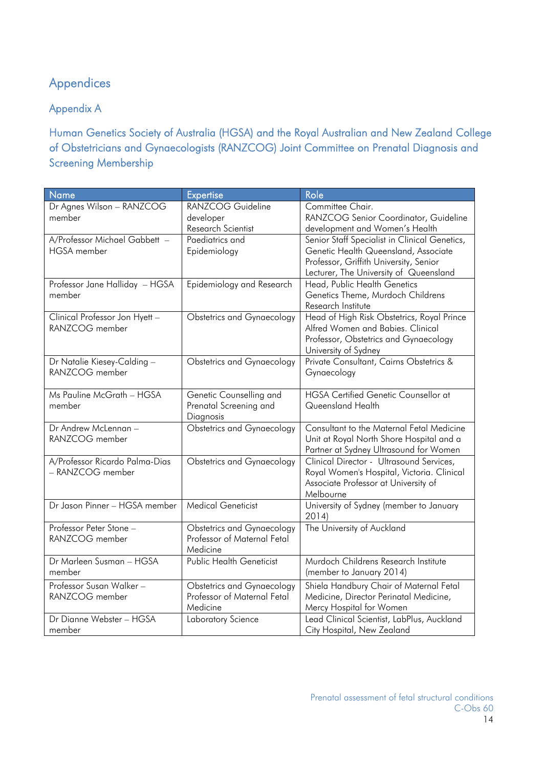# Appendices

Appendix A

Human Genetics Society of Australia (HGSA) and the Royal Australian and New Zealand College of Obstetricians and Gynaecologists (RANZCOG) Joint Committee on Prenatal Diagnosis and Screening Membership

| Name                                | <b>Expertise</b>                  | Role                                                      |
|-------------------------------------|-----------------------------------|-----------------------------------------------------------|
| Dr Agnes Wilson - RANZCOG<br>member | RANZCOG Guideline<br>developer    | Committee Chair.<br>RANZCOG Senior Coordinator, Guideline |
|                                     | Research Scientist                | development and Women's Health                            |
| A/Professor Michael Gabbett -       | Paediatrics and                   | Senior Staff Specialist in Clinical Genetics,             |
| <b>HGSA</b> member                  | Epidemiology                      | Genetic Health Queensland, Associate                      |
|                                     |                                   | Professor, Griffith University, Senior                    |
|                                     |                                   | Lecturer, The University of Queensland                    |
| Professor Jane Halliday - HGSA      | Epidemiology and Research         | Head, Public Health Genetics                              |
| member                              |                                   | Genetics Theme, Murdoch Childrens                         |
|                                     |                                   | Research Institute                                        |
| Clinical Professor Jon Hyett -      | <b>Obstetrics and Gynaecology</b> | Head of High Risk Obstetrics, Royal Prince                |
| RANZCOG member                      |                                   | Alfred Women and Babies. Clinical                         |
|                                     |                                   | Professor, Obstetrics and Gynaecology                     |
|                                     |                                   | University of Sydney                                      |
| Dr Natalie Kiesey-Calding -         | <b>Obstetrics and Gynaecology</b> | Private Consultant, Cairns Obstetrics &                   |
| RANZCOG member                      |                                   | Gynaecology                                               |
|                                     |                                   |                                                           |
| Ms Pauline McGrath - HGSA           | Genetic Counselling and           | <b>HGSA Certified Genetic Counsellor at</b>               |
| member                              | Prenatal Screening and            | Queensland Health                                         |
|                                     | Diagnosis                         |                                                           |
| Dr Andrew McLennan -                | <b>Obstetrics and Gynaecology</b> | Consultant to the Maternal Fetal Medicine                 |
| RANZCOG member                      |                                   | Unit at Royal North Shore Hospital and a                  |
|                                     |                                   | Partner at Sydney Ultrasound for Women                    |
| A/Professor Ricardo Palma-Dias      | <b>Obstetrics and Gynaecology</b> | Clinical Director - Ultrasound Services,                  |
| - RANZCOG member                    |                                   | Royal Women's Hospital, Victoria. Clinical                |
|                                     |                                   | Associate Professor at University of                      |
|                                     |                                   | Melbourne                                                 |
| Dr Jason Pinner - HGSA member       | <b>Medical Geneticist</b>         | University of Sydney (member to January                   |
|                                     |                                   | 2014)                                                     |
| Professor Peter Stone -             | <b>Obstetrics and Gynaecology</b> | The University of Auckland                                |
| RANZCOG member                      | Professor of Maternal Fetal       |                                                           |
|                                     | Medicine                          |                                                           |
| Dr Marleen Susman - HGSA            | <b>Public Health Geneticist</b>   | Murdoch Childrens Research Institute                      |
| member                              |                                   | (member to January 2014)                                  |
| Professor Susan Walker-             | <b>Obstetrics and Gynaecology</b> | Shiela Handbury Chair of Maternal Fetal                   |
| RANZCOG member                      | Professor of Maternal Fetal       | Medicine, Director Perinatal Medicine,                    |
|                                     | Medicine                          | Mercy Hospital for Women                                  |
| Dr Dianne Webster - HGSA            | Laboratory Science                | Lead Clinical Scientist, LabPlus, Auckland                |
| member                              |                                   | City Hospital, New Zealand                                |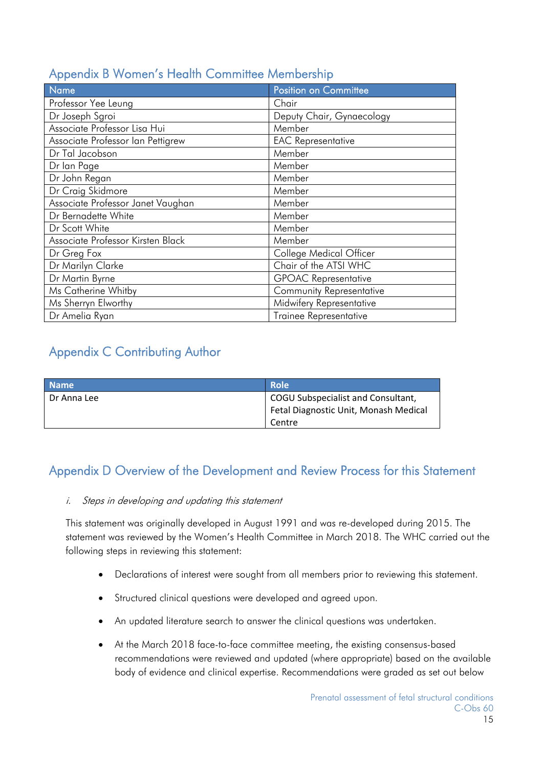| Name                              | <b>Position on Committee</b>    |
|-----------------------------------|---------------------------------|
| Professor Yee Leung               | Chair                           |
| Dr Joseph Sgroi                   | Deputy Chair, Gynaecology       |
| Associate Professor Lisa Hui      | Member                          |
| Associate Professor Ian Pettigrew | <b>EAC Representative</b>       |
| Dr Tal Jacobson                   | Member                          |
| Dr lan Page                       | Member                          |
| Dr John Regan                     | Member                          |
| Dr Craig Skidmore                 | Member                          |
| Associate Professor Janet Vaughan | Member                          |
| Dr Bernadette White               | Member                          |
| Dr Scott White                    | Member                          |
| Associate Professor Kirsten Black | Member                          |
| Dr Greg Fox                       | College Medical Officer         |
| Dr Marilyn Clarke                 | Chair of the ATSI WHC           |
| Dr Martin Byrne                   | <b>GPOAC Representative</b>     |
| Ms Catherine Whitby               | <b>Community Representative</b> |
| Ms Sherryn Elworthy               | Midwifery Representative        |
| Dr Amelia Ryan                    | <b>Trainee Representative</b>   |

# Appendix B Women's Health Committee Membership

# Appendix C Contributing Author

| <b>Name</b> | Role                                  |
|-------------|---------------------------------------|
| Dr Anna Lee | COGU Subspecialist and Consultant,    |
|             | Fetal Diagnostic Unit, Monash Medical |
|             | Centre                                |

### Appendix D Overview of the Development and Review Process for this Statement

### i. Steps in developing and updating this statement

This statement was originally developed in August 1991 and was re-developed during 2015. The statement was reviewed by the Women's Health Committee in March 2018. The WHC carried out the following steps in reviewing this statement:

- Declarations of interest were sought from all members prior to reviewing this statement.
- Structured clinical questions were developed and agreed upon.
- An updated literature search to answer the clinical questions was undertaken.
- At the March 2018 face-to-face committee meeting, the existing consensus-based recommendations were reviewed and updated (where appropriate) based on the available body of evidence and clinical expertise. Recommendations were graded as set out below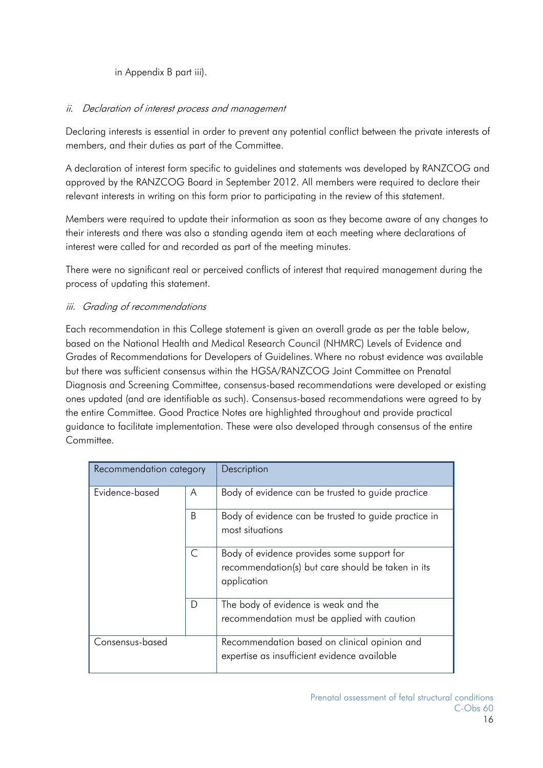### in Appendix B part iii).

### ii. Declaration of interest process and management

Declaring interests is essential in order to prevent any potential conflict between the private interests of members, and their duties as part of the Committee.

A declaration of interest form specific to guidelines and statements was developed by RANZCOG and approved by the RANZCOG Board in September 2012. All members were required to declare their relevant interests in writing on this form prior to participating in the review of this statement.

Members were required to update their information as soon as they become aware of any changes to their interests and there was also a standing agenda item at each meeting where declarations of interest were called for and recorded as part of the meeting minutes.

There were no significant real or perceived conflicts of interest that required management during the process of updating this statement.

### iii. Grading of recommendations

Each recommendation in this College statement is given an overall grade as per the table below, based on the National Health and Medical Research Council (NHMRC) Levels of Evidence and Grades of Recommendations for Developers of Guidelines. Where no robust evidence was available but there was sufficient consensus within the HGSA/RANZCOG Joint Committee on Prenatal Diagnosis and Screening Committee, consensus-based recommendations were developed or existing ones updated (and are identifiable as such). Consensus-based recommendations were agreed to by the entire Committee. Good Practice Notes are highlighted throughout and provide practical guidance to facilitate implementation. These were also developed through consensus of the entire Committee.

| Recommendation category |   | Description                                                                                                    |
|-------------------------|---|----------------------------------------------------------------------------------------------------------------|
| Evidence-based          | A | Body of evidence can be trusted to guide practice                                                              |
|                         | B | Body of evidence can be trusted to guide practice in<br>most situations                                        |
|                         | C | Body of evidence provides some support for<br>recommendation(s) but care should be taken in its<br>application |
|                         | D | The body of evidence is weak and the<br>recommendation must be applied with caution                            |
| Consensus-based         |   | Recommendation based on clinical opinion and<br>expertise as insufficient evidence available                   |